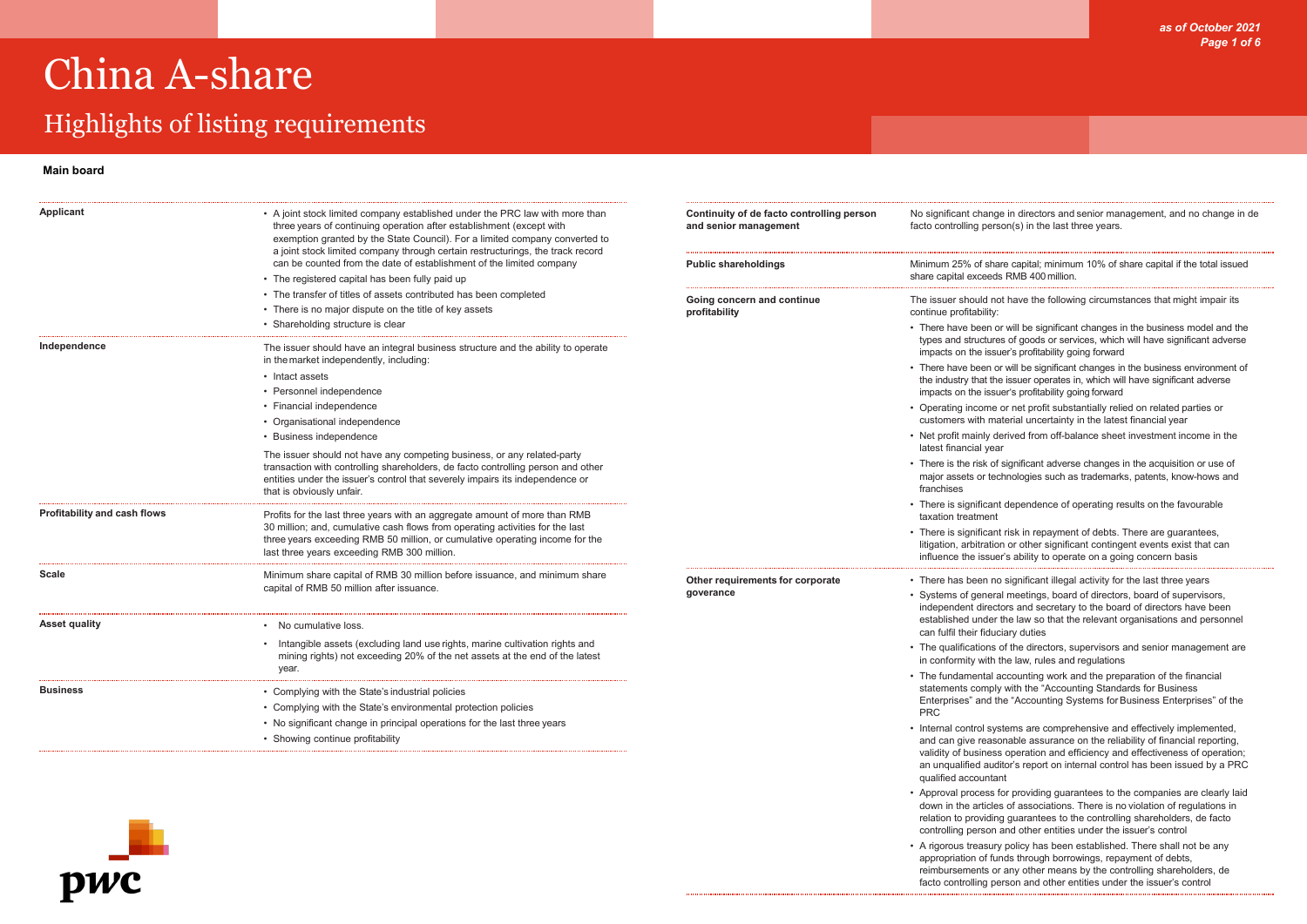## Highlights of listing requirements

*as of October 2021 Page 1 of 6*

nge in directors and senior management, and no change in de erson(s) in the last three years.

hare capital; minimum 10% of share capital if the total issued eds RMB 400 million.

| <b>Applicant</b>                    | • A joint stock limited company established under the PRC law with more than<br>three years of continuing operation after establishment (except with<br>exemption granted by the State Council). For a limited company converted to<br>a joint stock limited company through certain restructurings, the track record | Continuity of de facto controlling person<br>and senior management | No significant chang<br>facto controlling pers                         |
|-------------------------------------|-----------------------------------------------------------------------------------------------------------------------------------------------------------------------------------------------------------------------------------------------------------------------------------------------------------------------|--------------------------------------------------------------------|------------------------------------------------------------------------|
|                                     | can be counted from the date of establishment of the limited company                                                                                                                                                                                                                                                  | <b>Public shareholdings</b>                                        | Minimum 25% of sha                                                     |
|                                     | • The registered capital has been fully paid up                                                                                                                                                                                                                                                                       |                                                                    | share capital exceed                                                   |
|                                     | • The transfer of titles of assets contributed has been completed                                                                                                                                                                                                                                                     | Going concern and continue                                         | The issuer should no                                                   |
|                                     | • There is no major dispute on the title of key assets                                                                                                                                                                                                                                                                | profitability                                                      | continue profitability:                                                |
|                                     | • Shareholding structure is clear                                                                                                                                                                                                                                                                                     |                                                                    | • There have been o                                                    |
| Independence                        | The issuer should have an integral business structure and the ability to operate<br>in the market independently, including:                                                                                                                                                                                           |                                                                    | types and structure<br>impacts on the isse                             |
|                                     | • Intact assets                                                                                                                                                                                                                                                                                                       |                                                                    | • There have been o                                                    |
|                                     | • Personnel independence                                                                                                                                                                                                                                                                                              |                                                                    | the industry that th<br>impacts on the issu                            |
|                                     | • Financial independence                                                                                                                                                                                                                                                                                              |                                                                    | • Operating income                                                     |
|                                     | • Organisational independence                                                                                                                                                                                                                                                                                         |                                                                    | customers with ma                                                      |
|                                     | <b>Business independence</b>                                                                                                                                                                                                                                                                                          |                                                                    | • Net profit mainly d<br>latest financial yea                          |
|                                     | The issuer should not have any competing business, or any related-party<br>transaction with controlling shareholders, de facto controlling person and other<br>entities under the issuer's control that severely impairs its independence or<br>that is obviously unfair.                                             |                                                                    | • There is the risk of<br>major assets or teo<br>franchises            |
| <b>Profitability and cash flows</b> | Profits for the last three years with an aggregate amount of more than RMB                                                                                                                                                                                                                                            |                                                                    | $\cdot$ There is significan<br>taxation treatment                      |
|                                     | 30 million; and, cumulative cash flows from operating activities for the last<br>three years exceeding RMB 50 million, or cumulative operating income for the<br>last three years exceeding RMB 300 million.                                                                                                          |                                                                    | • There is significan<br>litigation, arbitratio<br>influence the issue |
| <b>Scale</b>                        | Minimum share capital of RMB 30 million before issuance, and minimum share                                                                                                                                                                                                                                            | Other requirements for corporate                                   | • There has been no                                                    |
|                                     | capital of RMB 50 million after issuance.                                                                                                                                                                                                                                                                             | goverance                                                          | • Systems of genera<br>independent direc                               |
| <b>Asset quality</b>                | No cumulative loss.                                                                                                                                                                                                                                                                                                   |                                                                    | established under                                                      |
|                                     |                                                                                                                                                                                                                                                                                                                       |                                                                    | can fulfil their fidue                                                 |
|                                     | Intangible assets (excluding land use rights, marine cultivation rights and<br>mining rights) not exceeding 20% of the net assets at the end of the latest<br>year.                                                                                                                                                   |                                                                    | • The qualifications<br>in conformity with                             |
|                                     |                                                                                                                                                                                                                                                                                                                       |                                                                    | • The fundamental a<br>statements comply                               |
| <b>Business</b>                     | • Complying with the State's industrial policies                                                                                                                                                                                                                                                                      |                                                                    | Enterprises" and t                                                     |
|                                     | • Complying with the State's environmental protection policies                                                                                                                                                                                                                                                        |                                                                    | <b>PRC</b>                                                             |
|                                     | • No significant change in principal operations for the last three years                                                                                                                                                                                                                                              |                                                                    | • Internal control sy                                                  |
|                                     | • Showing continue profitability                                                                                                                                                                                                                                                                                      |                                                                    | and can give rease<br>validity of busines                              |



- not have the following circumstances that might impair its
- or will be significant changes in the business model and the ures of goods or services, which will have significant adverse ssuer's profitability going forward
- or will be significant changes in the business environment of the issuer operates in, which will have significant adverse ssuer's profitability going forward
- ne or net profit substantially relied on related parties or material uncertainty in the latest financial year
- derived from off-balance sheet investment income in the lear
- of significant adverse changes in the acquisition or use of technologies such as trademarks, patents, know-hows and
- ant dependence of operating results on the favourable
- ant risk in repayment of debts. There are guarantees, ition or other significant contingent events exist that can iuer's ability to operate on a going concern basis
- no significant illegal activity for the last three years
- eral meetings, board of directors, board of supervisors, ectors and secretary to the board of directors have been ler the law so that the relevant organisations and personnel duciary duties
- as of the directors, supervisors and senior management are th the law, rules and regulations
- al accounting work and the preparation of the financial ply with the "Accounting Standards for Business the "Accounting Systems for Business Enterprises" of the
- systems are comprehensive and effectively implemented, asonable assurance on the reliability of financial reporting, ess operation and efficiency and effectiveness of operation; an unqualified auditor's report on internal control has been issued by a PRC qualified accountant
- Approval process for providing guarantees to the companies are clearly laid down in the articles of associations. There is no violation of regulations in relation to providing guarantees to the controlling shareholders, de facto controlling person and other entities under the issuer's control
- A rigorous treasury policy has been established. There shall not be any appropriation of funds through borrowings, repayment of debts,
- reimbursements or any other means by the controlling shareholders, de facto controlling person and other entities under the issuer's control

#### **Main board**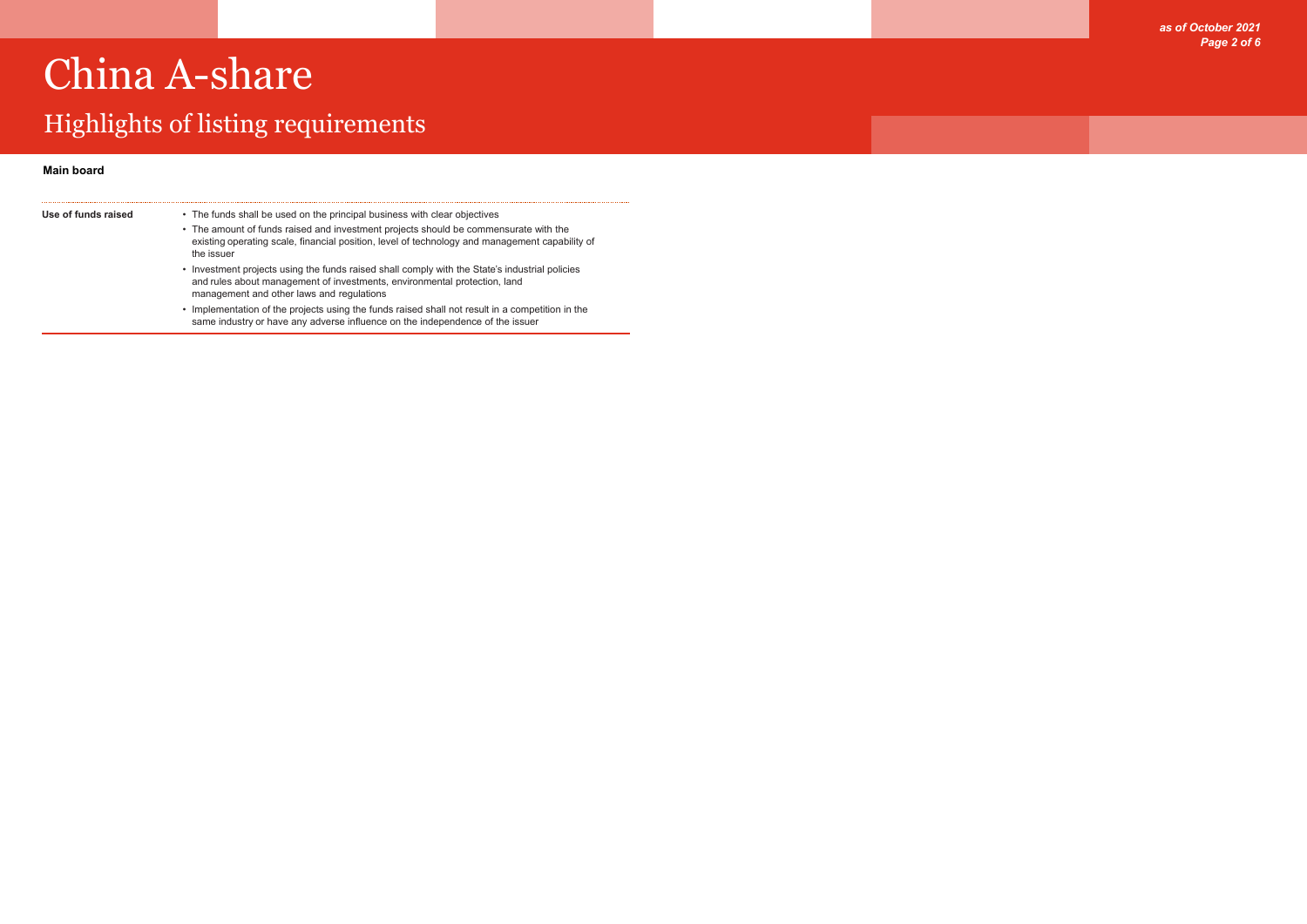## Highlights of listing requirements



| Use of funds raised | • The funds shall be used on the principal business with clear objectives                                                                                                                                                |
|---------------------|--------------------------------------------------------------------------------------------------------------------------------------------------------------------------------------------------------------------------|
|                     | • The amount of funds raised and investment projects should be commensurate with the<br>existing operating scale, financial position, level of technology and management capability of<br>the issuer                     |
|                     | • Investment projects using the funds raised shall comply with the State's industrial policies<br>and rules about management of investments, environmental protection, land<br>management and other laws and regulations |
|                     | • Implementation of the projects using the funds raised shall not result in a competition in the<br>same industry or have any adverse influence on the independence of the issuer                                        |

### **Main board**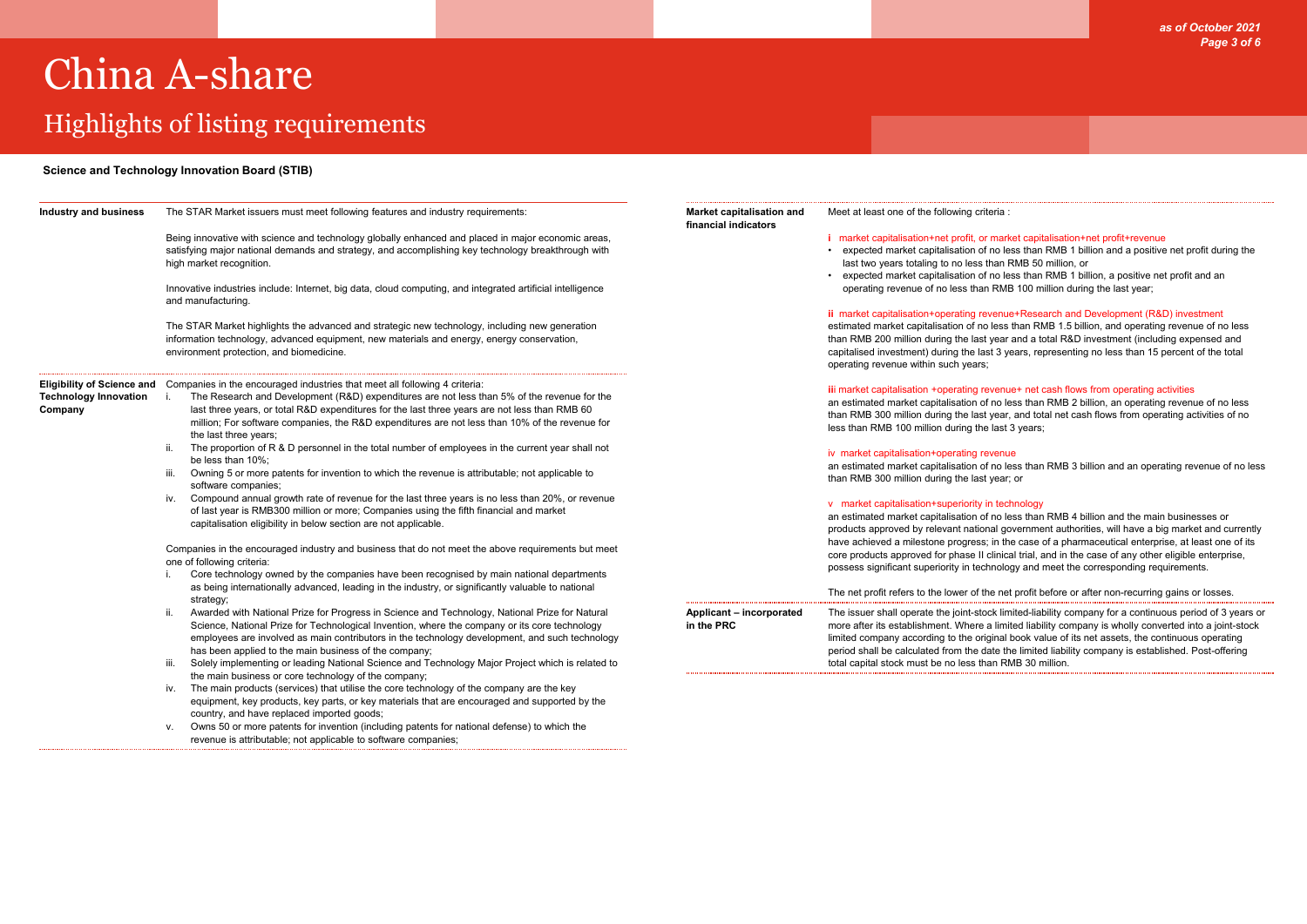## Highlights of listing requirements

*as of October 2021 Page 3 of 6*

#### teria :

#### market capitalisation+net profit+revenue

 $\epsilon$  no less than RMB 1 billion and a positive net profit during the than RMB 50 million, or

 $\epsilon$  no less than RMB 1 billion, a positive net profit and an RMB 100 million during the last year;

#### venue+Research and Development (R&D) investment

less than RMB 1.5 billion, and operating revenue of no less year and a total R&D investment (including expensed and st 3 years, representing no less than 15 percent of the total

#### **ivenue+ net cash flows from operating activities**

ino less than RMB 2 billion, an operating revenue of no less year, and total net cash flows from operating activities of no last 3 years;

#### evenue

ino less than RMB 3 billion and an operating revenue of no less thear; or

#### n technology

no less than RMB 4 billion and the main businesses or nal government authorities, will have a big market and currently in the case of a pharmaceutical enterprise, at least one of its clinical trial, and in the case of any other eligible enterprise, nology and meet the corresponding requirements.

#### he net profit before or after non-recurring gains or losses.

ock limited-liability company for a continuous period of 3 years or a limited liability company is wholly converted into a joint-stock ginal book value of its net assets, the continuous operating ate the limited liability company is established. Post-offering an RMB 30 million.

| <b>Industry and business</b>            | The STAR Market issuers must meet following features and industry requirements:                                                                                                                                                                                                                                                                                                                                                        | Market capitalisation and<br>financial indicators | Meet at least one of the following crite                                                                                                                            |
|-----------------------------------------|----------------------------------------------------------------------------------------------------------------------------------------------------------------------------------------------------------------------------------------------------------------------------------------------------------------------------------------------------------------------------------------------------------------------------------------|---------------------------------------------------|---------------------------------------------------------------------------------------------------------------------------------------------------------------------|
|                                         | Being innovative with science and technology globally enhanced and placed in major economic areas,<br>satisfying major national demands and strategy, and accomplishing key technology breakthrough with<br>high market recognition.                                                                                                                                                                                                   |                                                   | i market capitalisation+net profit, or<br>• expected market capitalisation of<br>last two years totaling to no less tl<br>• expected market capitalisation of       |
|                                         | Innovative industries include: Internet, big data, cloud computing, and integrated artificial intelligence<br>and manufacturing.                                                                                                                                                                                                                                                                                                       |                                                   | operating revenue of no less than<br>ii market capitalisation+operating rev                                                                                         |
|                                         | The STAR Market highlights the advanced and strategic new technology, including new generation<br>information technology, advanced equipment, new materials and energy, energy conservation,<br>environment protection, and biomedicine.                                                                                                                                                                                               |                                                   | estimated market capitalisation of no<br>than RMB 200 million during the last<br>capitalised investment) during the las<br>operating revenue within such years;     |
| <b>Technology Innovation</b><br>Company | Eligibility of Science and Companies in the encouraged industries that meet all following 4 criteria:<br>The Research and Development (R&D) expenditures are not less than 5% of the revenue for the<br>i.<br>last three years, or total R&D expenditures for the last three years are not less than RMB 60<br>million; For software companies, the R&D expenditures are not less than 10% of the revenue for<br>the last three years; |                                                   | iii market capitalisation +operating re<br>an estimated market capitalisation of<br>than RMB 300 million during the last<br>less than RMB 100 million during the    |
|                                         | The proportion of R & D personnel in the total number of employees in the current year shall not<br>ii.<br>be less than 10%:<br>Owning 5 or more patents for invention to which the revenue is attributable; not applicable to<br>iii.<br>software companies;                                                                                                                                                                          |                                                   | iv market capitalisation+operating re<br>an estimated market capitalisation of<br>than RMB 300 million during the last                                              |
|                                         | Compound annual growth rate of revenue for the last three years is no less than 20%, or revenue<br>İV.<br>of last year is RMB300 million or more; Companies using the fifth financial and market<br>capitalisation eligibility in below section are not applicable.                                                                                                                                                                    |                                                   | v market capitalisation+superiority in<br>an estimated market capitalisation of<br>products approved by relevant nation                                             |
|                                         | Companies in the encouraged industry and business that do not meet the above requirements but meet<br>one of following criteria:<br>Core technology owned by the companies have been recognised by main national departments<br>i.                                                                                                                                                                                                     |                                                   | have achieved a milestone progress;<br>core products approved for phase II o<br>possess significant superiority in tech                                             |
|                                         | as being internationally advanced, leading in the industry, or significantly valuable to national<br>strategy;                                                                                                                                                                                                                                                                                                                         |                                                   | The net profit refers to the lower of th                                                                                                                            |
|                                         | Awarded with National Prize for Progress in Science and Technology, National Prize for Natural<br>ii.<br>Science, National Prize for Technological Invention, where the company or its core technology<br>employees are involved as main contributors in the technology development, and such technology<br>has been applied to the main business of the company;                                                                      | Applicant - incorporated<br>in the PRC            | The issuer shall operate the joint-stod<br>more after its establishment. Where a<br>limited company according to the orig<br>period shall be calculated from the da |
|                                         | Solely implementing or leading National Science and Technology Major Project which is related to<br>iii.<br>the main business or core technology of the company;                                                                                                                                                                                                                                                                       |                                                   | total capital stock must be no less that                                                                                                                            |
|                                         | The main products (services) that utilise the core technology of the company are the key<br>İV.<br>equipment, key products, key parts, or key materials that are encouraged and supported by the<br>country, and have replaced imported goods;                                                                                                                                                                                         |                                                   |                                                                                                                                                                     |
|                                         | Owns 50 or more patents for invention (including patents for national defense) to which the<br>v.<br>revenue is attributable; not applicable to software companies;                                                                                                                                                                                                                                                                    |                                                   |                                                                                                                                                                     |

#### **Science and Technology Innovation Board (STIB)**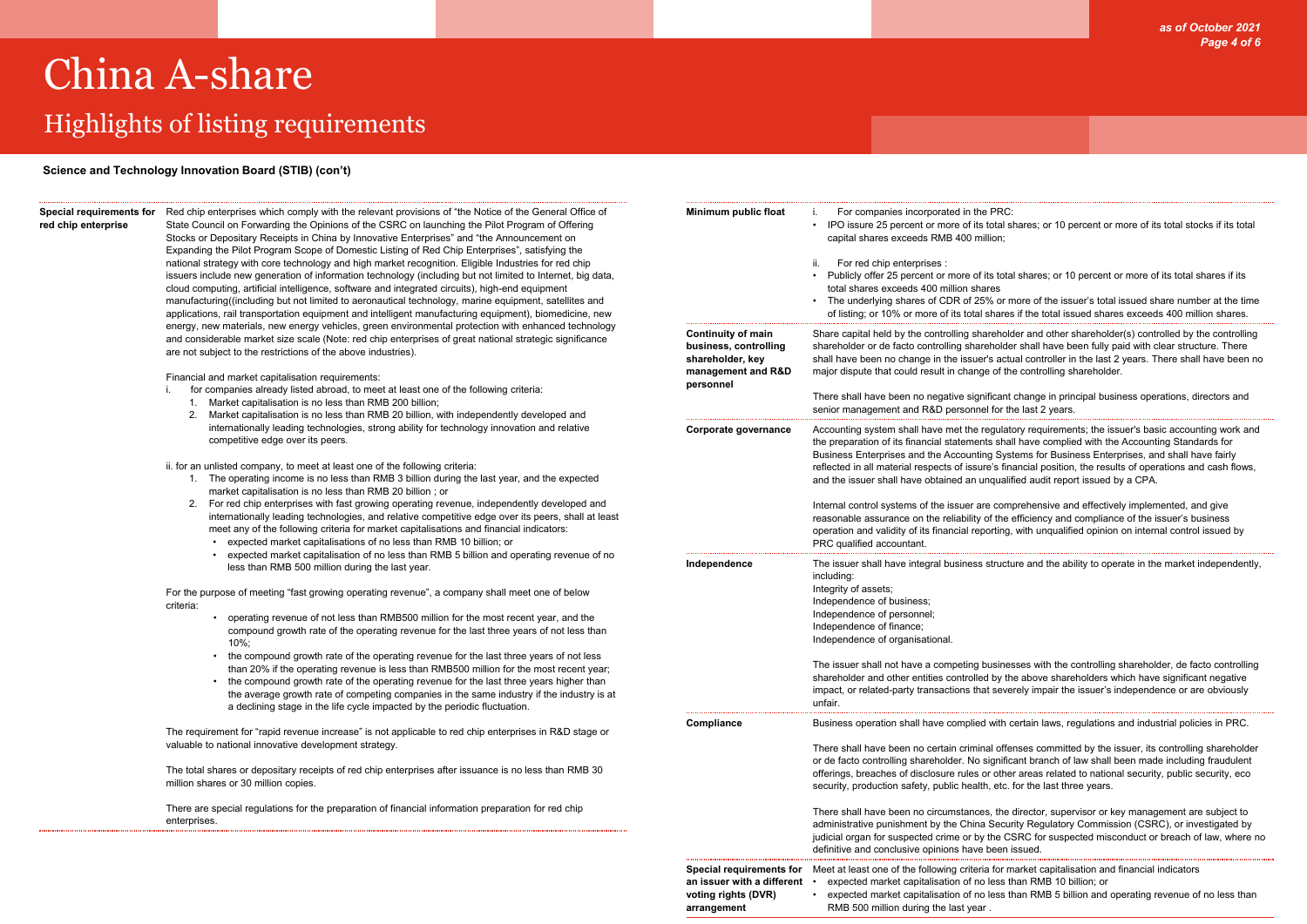### Highlights of listing requirements

*as of October 2021 Page 4 of 6*

total shares; or 10 percent or more of its total stocks if its total

ts total shares; or 10 percent or more of its total shares if its

% or more of the issuer's total issued share number at the time shares if the total issued shares exceeds 400 million shares.

reholder and other shareholder(s) controlled by the controlling sholder shall have been fully paid with clear structure. There 's actual controller in the last 2 years. There shall have been no  $p$  of the controlling shareholder.

ficant change in principal business operations, directors and I for the last 2 years.

egulatory requirements; the issuer's basic accounting work and ts shall have complied with the Accounting Standards for g Systems for Business Enterprises, and shall have fairly e's financial position, the results of operations and cash flows, and is inditional have dependent issued by a CPA.

e comprehensive and effectively implemented, and give of the efficiency and compliance of the issuer's business orting, with unqualified opinion on internal control issued by

**Independent is shall shall have integrate in the market independently, structure and the ability to operate in** 

usinesses with the controlling shareholder, de facto controlling by the above shareholders which have significant negative severely impair the issuer's independence or are obviously

with certain laws, regulations and industrial policies in PRC.

al offenses committed by the issuer, its controlling shareholder ignificant branch of law shall been made including fraudulent r other areas related to national security, public security, eco , etc. for the last three years.

the director, supervisor or key management are subject to Security Regulatory Commission (CSRC), or investigated by the CSRC for suspected misconduct or breach of law, where no been issued.

for market capitalisation and financial indicators less than RMB 10 billion; or less than RMB 5 billion and operating revenue of no less than

### **red chip enterprise**

**Special requirements for**  Red chip enterprises which comply with the relevant provisions of "the Notice of the General Office of State Council on Forwarding the Opinions of the CSRC on launching the Pilot Program of Offering Stocks or Depositary Receipts in China by Innovative Enterprises" and "the Announcement on Expanding the Pilot Program Scope of Domestic Listing of Red Chip Enterprises", satisfying the national strategy with core technology and high market recognition. Eligible Industries for red chip issuers include new generation of information technology (including but not limited to Internet, big data, cloud computing, artificial intelligence, software and integrated circuits), high-end equipment manufacturing((including but not limited to aeronautical technology, marine equipment, satellites and applications, rail transportation equipment and intelligent manufacturing equipment), biomedicine, new energy, new materials, new energy vehicles, green environmental protection with enhanced technology and considerable market size scale (Note: red chip enterprises of great national strategic significance are not subject to the restrictions of the above industries).

Financial and market capitalisation requirements:

- i. for companies already listed abroad, to meet at least one of the following criteria:
	- 1. Market capitalisation is no less than RMB 200 billion;
	- 2. Market capitalisation is no less than RMB 20 billion, with independently developed and internationally leading technologies, strong ability for technology innovation and relative competitive edge over its peers.

ii. for an unlisted company, to meet at least one of the following criteria:

- 1. The operating income is no less than RMB 3 billion during the last year, and the expected market capitalisation is no less than RMB 20 billion ; or
- 2. For red chip enterprises with fast growing operating revenue, independently developed and internationally leading technologies, and relative competitive edge over its peers, shall at least meet any of the following criteria for market capitalisations and financial indicators:
	- expected market capitalisations of no less than RMB 10 billion; or
	- expected market capitalisation of no less than RMB 5 billion and operating revenue of no less than RMB 500 million during the last year.

For the purpose of meeting "fast growing operating revenue", a company shall meet one of below criteria:

- operating revenue of not less than RMB500 million for the most recent year, and the compound growth rate of the operating revenue for the last three years of not less than 10%;
- the compound growth rate of the operating revenue for the last three years of not less than 20% if the operating revenue is less than RMB500 million for the most recent year;
- the compound growth rate of the operating revenue for the last three years higher than the average growth rate of competing companies in the same industry if the industry is at a declining stage in the life cycle impacted by the periodic fluctuation.

The requirement for "rapid revenue increase" is not applicable to red chip enterprises in R&D stage or valuable to national innovative development strategy.

The total shares or depositary receipts of red chip enterprises after issuance is no less than RMB 30 million shares or 30 million copies.

There are special regulations for the preparation of financial information preparation for red chip enterprises.

| Minimum public float                                                                                      | For companies incorporated in the PRC:<br>İ.<br>IPO issure 25 percent or more of its total s<br>capital shares exceeds RMB 400 million;                                                                                                                   |
|-----------------------------------------------------------------------------------------------------------|-----------------------------------------------------------------------------------------------------------------------------------------------------------------------------------------------------------------------------------------------------------|
|                                                                                                           | ii.<br>For red chip enterprises :<br>Publicly offer 25 percent or more of its tota<br>total shares exceeds 400 million shares<br>The underlying shares of CDR of 25% or n<br>of listing; or 10% or more of its total shares                               |
| <b>Continuity of main</b><br>business, controlling<br>shareholder, key<br>management and R&D<br>personnel | Share capital held by the controlling sharehold<br>shareholder or de facto controlling shareholde<br>shall have been no change in the issuer's actu<br>major dispute that could result in change of the                                                   |
|                                                                                                           | There shall have been no negative significant<br>senior management and R&D personnel for th                                                                                                                                                               |
| Corporate governance                                                                                      | Accounting system shall have met the regulate<br>the preparation of its financial statements shal<br>Business Enterprises and the Accounting Syst<br>reflected in all material respects of issure's fin<br>and the issuer shall have obtained an unqualif |
|                                                                                                           | Internal control systems of the issuer are com<br>reasonable assurance on the reliability of the<br>operation and validity of its financial reporting,<br>PRC qualified accountant.                                                                       |
| Independence                                                                                              | The issuer shall have integral business structu<br>including:<br>Integrity of assets;<br>Independence of business;<br>Independence of personnel;<br>Independence of finance;<br>Independence of organisational.                                           |
|                                                                                                           | The issuer shall not have a competing busines<br>shareholder and other entities controlled by th<br>impact, or related-party transactions that seve<br>unfair.                                                                                            |
| <b>Compliance</b>                                                                                         | Business operation shall have complied with on                                                                                                                                                                                                            |
|                                                                                                           | There shall have been no certain criminal offe<br>or de facto controlling shareholder. No signific<br>offerings, breaches of disclosure rules or othe<br>security, production safety, public health, etc.                                                 |
|                                                                                                           | There shall have been no circumstances, the<br>administrative punishment by the China Secur<br>judicial organ for suspected crime or by the C!<br>definitive and conclusive opinions have been i                                                          |
| <b>Special requirements for</b><br>an issuer with a different<br>voting rights (DVR)                      | Meet at least one of the following criteria for m<br>expected market capitalisation of no less tl<br>expected market capitalisation of no less tl                                                                                                         |

**arrangement**

RMB 500 million during the last year .

#### **Science and Technology Innovation Board (STIB) (con't)**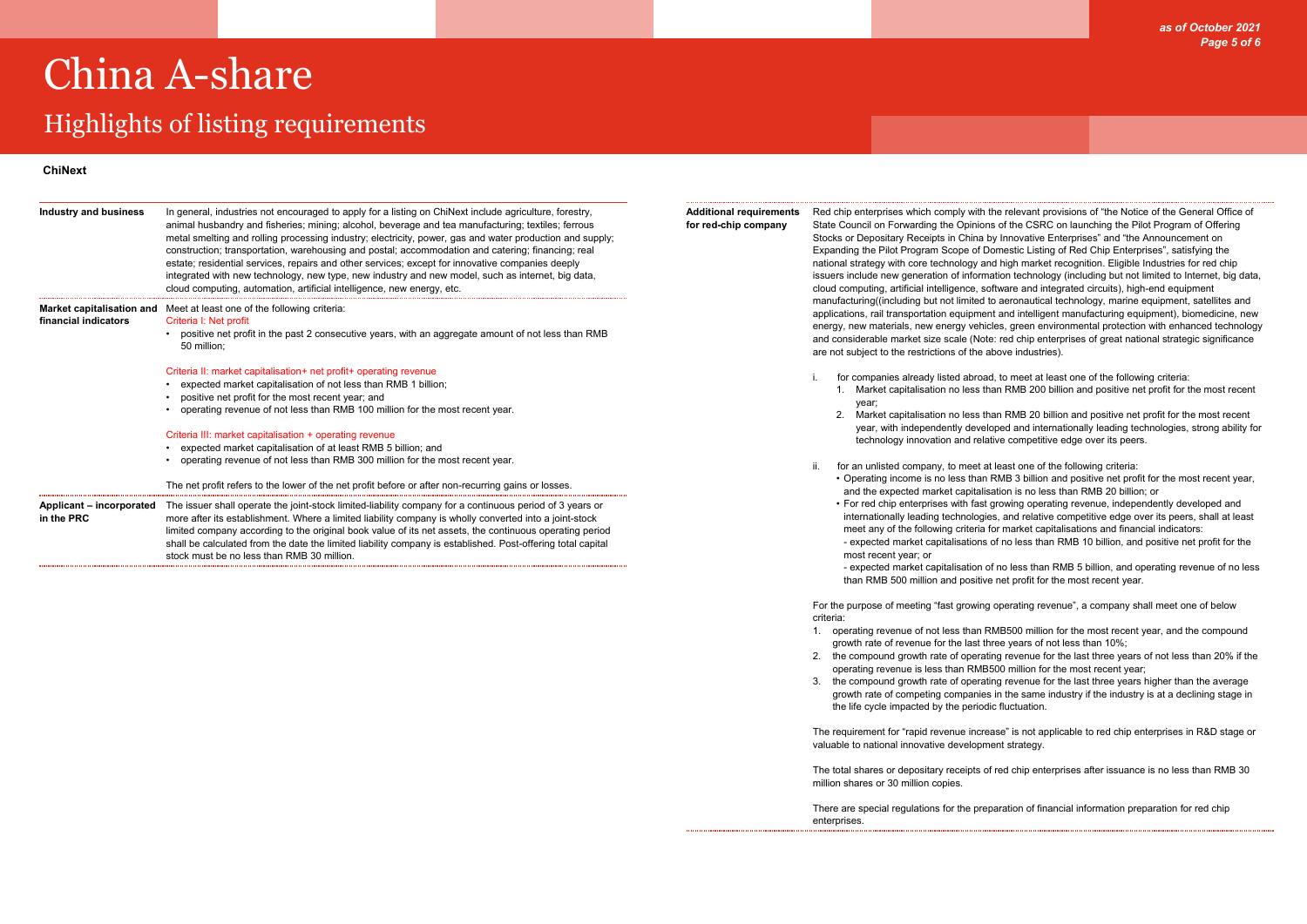### Highlights of listing requirements

*as of October 2021 Page 5 of 6*

| In general, industries not encouraged to apply for a listing on ChiNext include agriculture, forestry,<br>animal husbandry and fisheries; mining; alcohol, beverage and tea manufacturing; textiles; ferrous<br>metal smelting and rolling processing industry; electricity, power, gas and water production and supply;<br>construction; transportation, warehousing and postal; accommodation and catering; financing; real<br>estate; residential services, repairs and other services; except for innovative companies deeply<br>integrated with new technology, new type, new industry and new model, such as internet, big data,<br>cloud computing, automation, artificial intelligence, new energy, etc. |
|------------------------------------------------------------------------------------------------------------------------------------------------------------------------------------------------------------------------------------------------------------------------------------------------------------------------------------------------------------------------------------------------------------------------------------------------------------------------------------------------------------------------------------------------------------------------------------------------------------------------------------------------------------------------------------------------------------------|
| <b>Market capitalisation and</b> Meet at least one of the following criteria:<br>Criteria I: Net profit<br>positive net profit in the past 2 consecutive years, with an aggregate amount of not less than RMB<br>$\bullet$<br>50 million;                                                                                                                                                                                                                                                                                                                                                                                                                                                                        |
| Criteria II: market capitalisation+ net profit+ operating revenue<br>expected market capitalisation of not less than RMB 1 billion;<br>positive net profit for the most recent year; and<br>٠<br>operating revenue of not less than RMB 100 million for the most recent year.                                                                                                                                                                                                                                                                                                                                                                                                                                    |
| Criteria III: market capitalisation + operating revenue<br>expected market capitalisation of at least RMB 5 billion; and<br>operating revenue of not less than RMB 300 million for the most recent year.                                                                                                                                                                                                                                                                                                                                                                                                                                                                                                         |
| The net profit refers to the lower of the net profit before or after non-recurring gains or losses.                                                                                                                                                                                                                                                                                                                                                                                                                                                                                                                                                                                                              |
| The issuer shall operate the joint-stock limited-liability company for a continuous period of 3 years or<br>more after its establishment. Where a limited liability company is wholly converted into a joint-stock<br>limited company according to the original book value of its net assets, the continuous operating period<br>shall be calculated from the date the limited liability company is established. Post-offering total capital<br>stock must be no less than RMB 30 million.                                                                                                                                                                                                                       |
|                                                                                                                                                                                                                                                                                                                                                                                                                                                                                                                                                                                                                                                                                                                  |

**Additional requirements for red-chip company**

Red chip enterprises which comply with the relevant provisions of "the Notice of the General Office of State Council on Forwarding the Opinions of the CSRC on launching the Pilot Program of Offering Stocks or Depositary Receipts in China by Innovative Enterprises" and "the Announcement on Expanding the Pilot Program Scope of Domestic Listing of Red Chip Enterprises", satisfying the national strategy with core technology and high market recognition. Eligible Industries for red chip issuers include new generation of information technology (including but not limited to Internet, big data, cloud computing, artificial intelligence, software and integrated circuits), high-end equipment manufacturing((including but not limited to aeronautical technology, marine equipment, satellites and applications, rail transportation equipment and intelligent manufacturing equipment), biomedicine, new energy, new materials, new energy vehicles, green environmental protection with enhanced technology and considerable market size scale (Note: red chip enterprises of great national strategic significance are not subject to the restrictions of the above industries).

i. for companies already listed abroad, to meet at least one of the following criteria: 1. Market capitalisation no less than RMB 200 billion and positive net profit for the most recent

2. Market capitalisation no less than RMB 20 billion and positive net profit for the most recent year, with independently developed and internationally leading technologies, strong ability for technology innovation and relative competitive edge over its peers.

- year;
	-
- ii. for an unlisted company, to meet at least one of the following criteria: • Operating income is no less than RMB 3 billion and positive net profit for the most recent year, and the expected market capitalisation is no less than RMB 20 billion; or
	- For red chip enterprises with fast growing operating revenue, independently developed and internationally leading technologies, and relative competitive edge over its peers, shall at least meet any of the following criteria for market capitalisations and financial indicators: - expected market capitalisations of no less than RMB 10 billion, and positive net profit for the most recent year; or
	-

- expected market capitalisation of no less than RMB 5 billion, and operating revenue of no less than RMB 500 million and positive net profit for the most recent year.

For the purpose of meeting "fast growing operating revenue", a company shall meet one of below criteria:

- 1. operating revenue of not less than RMB500 million for the most recent year, and the compound growth rate of revenue for the last three years of not less than 10%;
- 2. the compound growth rate of operating revenue for the last three years of not less than 20% if the operating revenue is less than RMB500 million for the most recent year;
- 3. the compound growth rate of operating revenue for the last three years higher than the average growth rate of competing companies in the same industry if the industry is at a declining stage in the life cycle impacted by the periodic fluctuation.

The requirement for "rapid revenue increase" is not applicable to red chip enterprises in R&D stage or valuable to national innovative development strategy.

The total shares or depositary receipts of red chip enterprises after issuance is no less than RMB 30

million shares or 30 million copies.

There are special regulations for the preparation of financial information preparation for red chip enterprises.

#### **ChiNext**